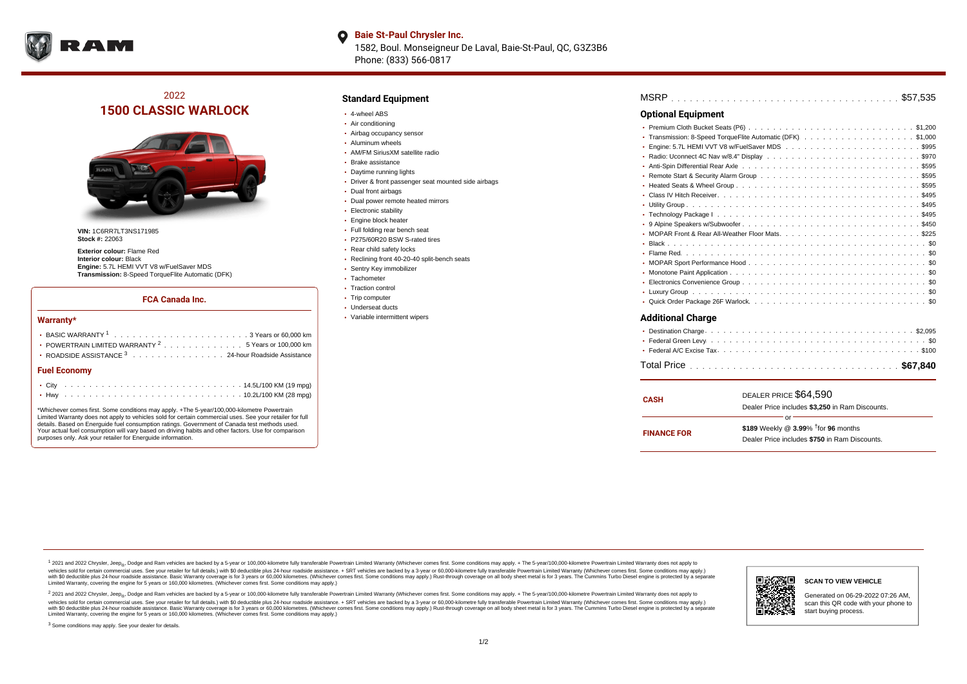

#### $\bullet$ **Baie St-Paul Chrysler Inc.**

1582, Boul. Monseigneur De Laval, Baie-St-Paul, QC, G3Z3B6 Phone: (833) 566-0817

# 2022 **1500 CLASSIC WARLOCK**



**VIN:** 1C6RR7LT3NS171985 **Stock #:** 22063

**Exterior colour:** Flame Red **Interior colour:** Black **Engine:** 5.7L HEMI VVT V8 w/FuelSaver MDS **Transmission:** 8-Speed TorqueFlite Automatic (DFK)

### **FCA Canada Inc.**

### **Warranty\***

| • POWERTRAIN LIMITED WARRANTY <sup>2</sup> 5 Years or 100,000 km |  |
|------------------------------------------------------------------|--|
| • ROADSIDE ASSISTANCE 3 24-hour Roadside Assistance              |  |
| <b>Fuel Economy</b>                                              |  |
|                                                                  |  |
|                                                                  |  |

\*Whichever comes first. Some conditions may apply. +The 5-year/100,000-kilometre Powertrain Limited Warranty does not apply to vehicles sold for certain commercial uses. See your retailer for full details. Based on Energuide fuel consumption ratings. Government of Canada test methods used. Your actual fuel consumption will vary based on driving habits and other factors. Use for comparison purposes only. Ask your retailer for Energuide information.

## **Standard Equipment**

- 4-wheel ABS
- Air conditioning
- Airbag occupancy sensor
- Aluminum wheels
- AM/FM SiriusXM satellite radio
- Brake assistance
- Daytime running lights
- Driver & front passenger seat mounted side airbags
- Dual front airbags
- Dual power remote heated mirrors
- **Electronic stability**
- Engine block heater
- Full folding rear bench seat
- P275/60R20 BSW S-rated tires
- Rear child safety locks
- Reclining front 40-20-40 split-bench seats
- Sentry Key immobilizer
- Tachometer
- Traction control • Trip computer
- Underseat ducts
- Variable intermittent wipers

| <b>Optional Equipment</b>                                    |
|--------------------------------------------------------------|
|                                                              |
| • Transmission: 8-Speed TorqueFlite Automatic (DFK). \$1,000 |
|                                                              |
|                                                              |
|                                                              |
|                                                              |
|                                                              |
|                                                              |
|                                                              |
|                                                              |
|                                                              |
|                                                              |
|                                                              |
|                                                              |
|                                                              |
|                                                              |
|                                                              |
|                                                              |
|                                                              |
| <b>Additional Charge</b>                                     |

### **Additional Charge**

| CASH               | DEALER PRICE \$64,590                              |  |
|--------------------|----------------------------------------------------|--|
|                    | Dealer Price includes \$3.250 in Ram Discounts.    |  |
|                    | Ωr                                                 |  |
| <b>FINANCE FOR</b> | \$189 Weekly @ $3.99\%$ <sup>†</sup> for 96 months |  |
|                    | Dealer Price includes \$750 in Ram Discounts.      |  |
|                    |                                                    |  |

<sup>1</sup> 2021 and 2022 Chrysler, Jeep<sub>®</sub>, Dodge and Ram vehicles are backed by a 5-year or 100,000-kilometre fully transferable Powertrain Limited Warranty (Whichever comes first. Some conditions may apply. + The 5-year/100,000 vehicles sold for certain commercial uses. See your retailer for full details.) with \$0 deductible plus 24 hour roadside assistance. + SRT vehicles are backed by a 3-year or 60,000-kilometre fully transferable Powertrain L versus and contract the mean of the contract of the contract with a contract with a contract the contract of the contract of the contract the contract of the contract of the contract of the contract of the contract of the Limited Warranty, covering the engine for 5 years or 160,000 kilometres. (Whichever comes first. Some conditions may apply.)

2 2021 and 2022 Chrysler, Jeep<sub>®</sub>, Dodge and Ram vehicles are backed by a 5-year or 100,000-kilometre fully transferable Powertrain Limited Warranty (Whichever comes first. Some conditions may apply. + The 5-year/100,000-k vehicles sold for certain commercial uses. See your retailer for full details.) with SO deductible plus 24-hour roadside assistance. + SRT vehicles are backed by a 3-year or 60.000-kilometre fully transferable Powertrain L with S0 deductible plus 24-hour roadside assistance. Basic Warranty coverage is for 3 years or 60,000 kilometres. (Whichever comes first. Some conditions may apply.) Rust-through coverage on all body sheet metal is for 3 y

<sup>3</sup> Some conditions may apply. See your dealer for details.



# **SCAN TO VIEW VEHICLE**

Generated on 06-29-2022 07:26 AM, scan this QR code with your phone to start buying process.